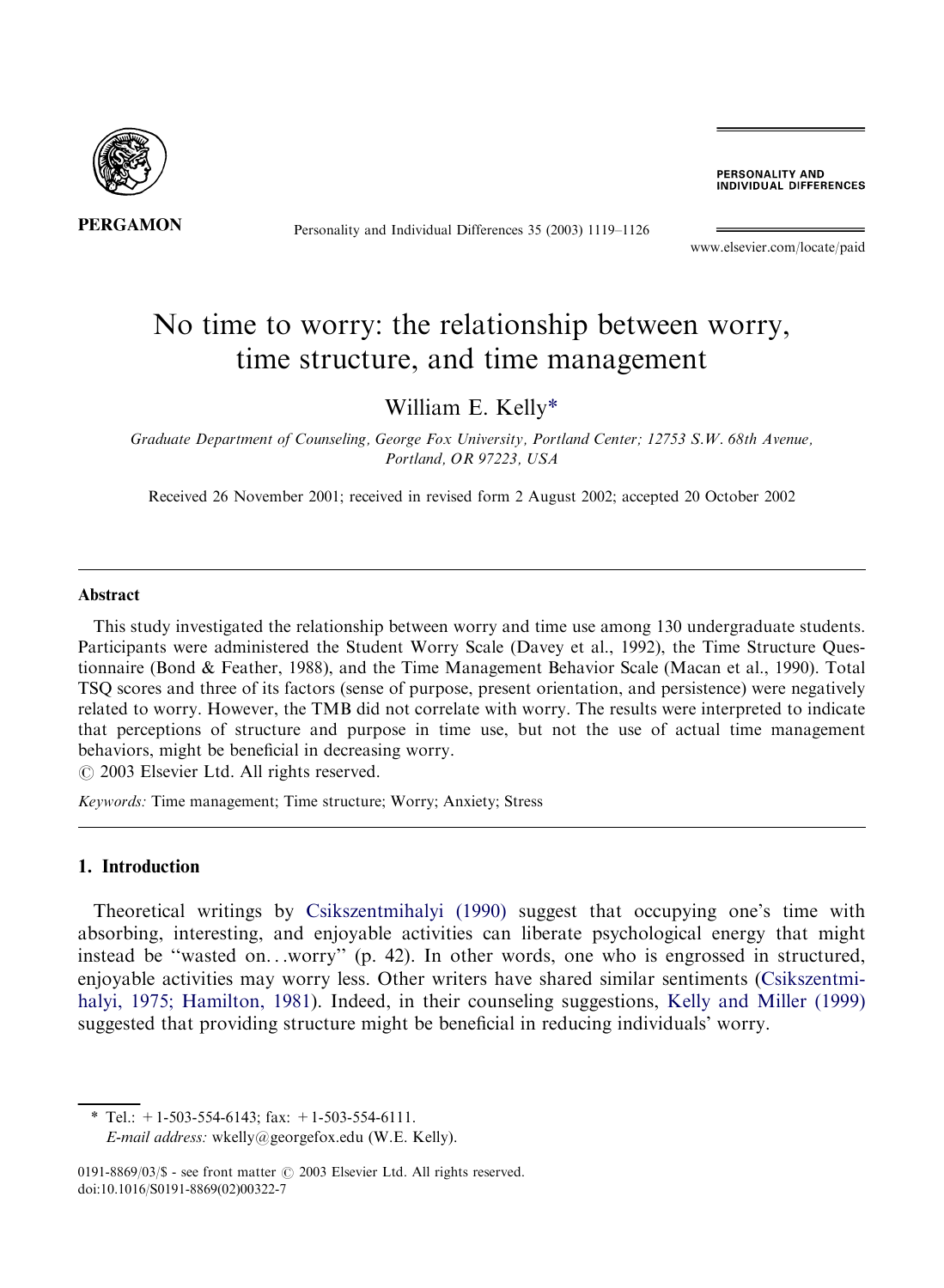

Personality and Individual Differences 35 (2003) 1119–1126

PERSONALITY AND **INDIVIDUAL DIFFERENCES** 

[www.elsevier.com/locate/paid](http://www.elsevier.com/locate/paid/a4.3d)

# No time to worry: the relationship between worry, time structure, and time management

### William E. Kelly\*

Graduate Department of Counseling, George Fox University, Portland Center; 12753 S.W. 68th Avenue, Portland, OR 97223, USA

Received 26 November 2001; received in revised form 2 August 2002; accepted 20 October 2002

#### Abstract

This study investigated the relationship between worry and time use among 130 undergraduate students. Participants were administered the Student Worry Scale (Davey et al., 1992), the Time Structure Questionnaire (Bond & Feather, 1988), and the Time Management Behavior Scale (Macan et al., 1990). Total TSQ scores and three of its factors (sense of purpose, present orientation, and persistence) were negatively related to worry. However, the TMB did not correlate with worry. The results were interpreted to indicate that perceptions of structure and purpose in time use, but not the use of actual time management behaviors, might be beneficial in decreasing worry.

 $\odot$  2003 Elsevier Ltd. All rights reserved.

Keywords: Time management; Time structure; Worry; Anxiety; Stress

#### 1. Introduction

Theoretical writings by [Csikszentmihalyi \(1990\)](#page--1-0) suggest that occupying one's time with absorbing, interesting, and enjoyable activities can liberate psychological energy that might instead be ''wasted on...worry'' (p. 42). In other words, one who is engrossed in structured, enjoyable activities may worry less. Other writers have shared similar sentiments (Csikszentmihalyi, 1975; Hamilton, 1981). Indeed, in their counseling suggestions, [Kelly and Miller \(1999\)](#page--1-0) suggested that providing structure might be beneficial in reducing individuals' worry.

 $*$  Tel.: +1-503-554-6143; fax: +1-503-554-6111. E-mail address: [wkelly@georgefox.edu](mailto:wkelly@georgefox.edu) (W.E. Kelly).

0191-8869/03/\$ - see front matter  $\odot$  2003 Elsevier Ltd. All rights reserved. doi:10.1016/S0191-8869(02)00322-7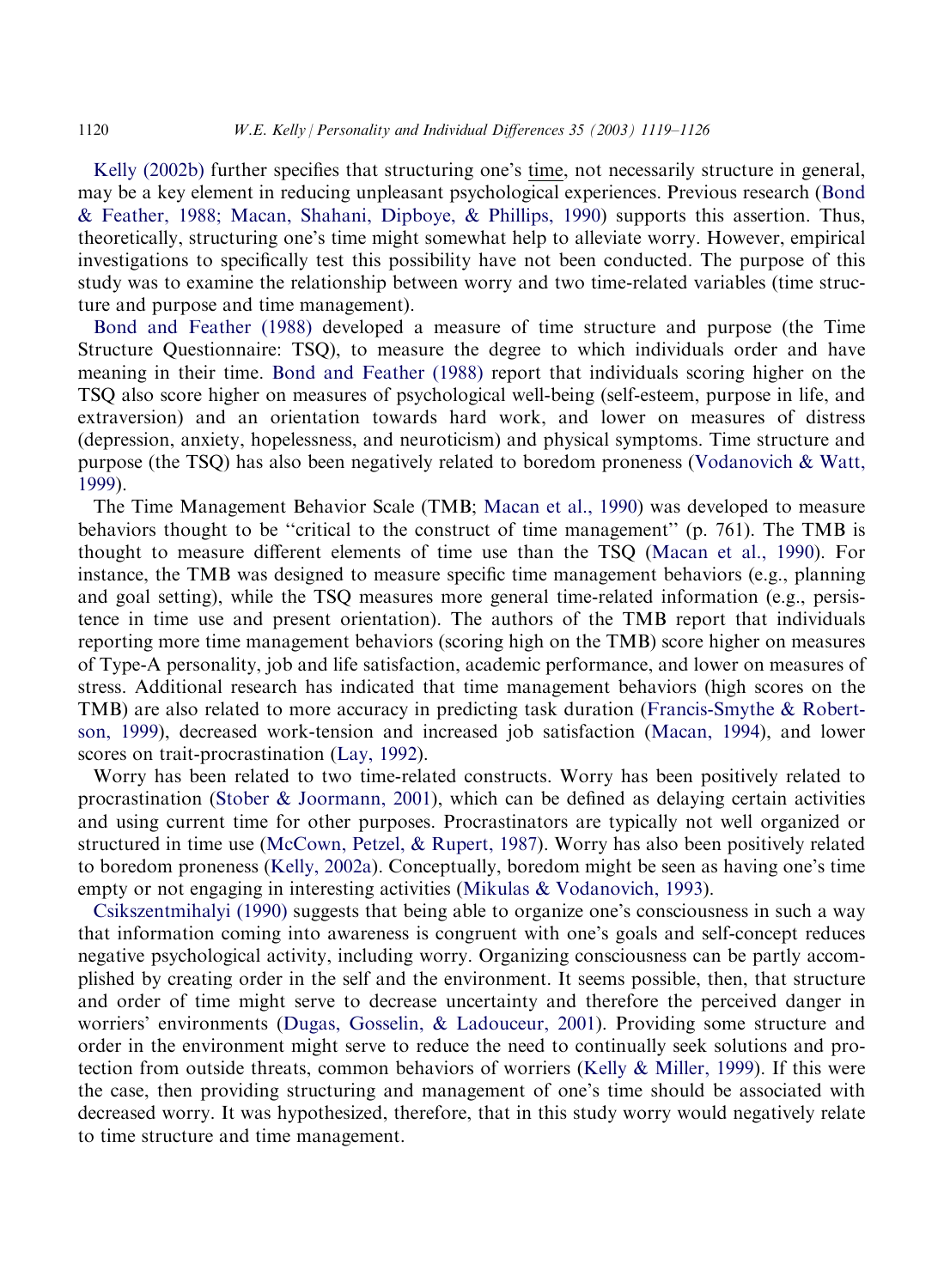[Kelly \(2002b\)](#page--1-0) further specifies that structuring one's time, not necessarily structure in general, may be a key element in reducing unpleasant psychological experiences. Previous research ([Bond](#page--1-0) [& Feather, 1988; Macan, Shahani, Dipboye, & Phillips, 1990](#page--1-0)) supports this assertion. Thus, theoretically, structuring one's time might somewhat help to alleviate worry. However, empirical investigations to specifically test this possibility have not been conducted. The purpose of this study was to examine the relationship between worry and two time-related variables (time structure and purpose and time management).

[Bond and Feather \(1988\)](#page--1-0) developed a measure of time structure and purpose (the Time Structure Questionnaire: TSQ), to measure the degree to which individuals order and have meaning in their time. [Bond and Feather \(1988\)](#page--1-0) report that individuals scoring higher on the TSQ also score higher on measures of psychological well-being (self-esteem, purpose in life, and extraversion) and an orientation towards hard work, and lower on measures of distress (depression, anxiety, hopelessness, and neuroticism) and physical symptoms. Time structure and purpose (the TSQ) has also been negatively related to boredom proneness [\(Vodanovich & Watt,](#page--1-0) [1999\)](#page--1-0).

The Time Management Behavior Scale (TMB; [Macan et al., 1990](#page--1-0)) was developed to measure behaviors thought to be "critical to the construct of time management" (p. 761). The TMB is thought to measure different elements of time use than the TSQ ([Macan et al., 1990](#page--1-0)). For instance, the TMB was designed to measure specific time management behaviors (e.g., planning and goal setting), while the TSQ measures more general time-related information (e.g., persistence in time use and present orientation). The authors of the TMB report that individuals reporting more time management behaviors (scoring high on the TMB) score higher on measures of Type-A personality, job and life satisfaction, academic performance, and lower on measures of stress. Additional research has indicated that time management behaviors (high scores on the TMB) are also related to more accuracy in predicting task duration [\(Francis-Smythe & Robert](#page--1-0)[son, 1999](#page--1-0)), decreased work-tension and increased job satisfaction [\(Macan, 1994](#page--1-0)), and lower scores on trait-procrastination [\(Lay, 1992](#page--1-0)).

Worry has been related to two time-related constructs. Worry has been positively related to procrastination [\(Stober & Joormann, 2001\)](#page--1-0), which can be defined as delaying certain activities and using current time for other purposes. Procrastinators are typically not well organized or structured in time use [\(McCown, Petzel, & Rupert, 1987\)](#page--1-0). Worry has also been positively related to boredom proneness ([Kelly, 2002a](#page--1-0)). Conceptually, boredom might be seen as having one's time empty or not engaging in interesting activities ([Mikulas & Vodanovich, 1993](#page--1-0)).

[Csikszentmihalyi \(1990\)](#page--1-0) suggests that being able to organize one's consciousness in such a way that information coming into awareness is congruent with one's goals and self-concept reduces negative psychological activity, including worry. Organizing consciousness can be partly accomplished by creating order in the self and the environment. It seems possible, then, that structure and order of time might serve to decrease uncertainty and therefore the perceived danger in worriers' environments [\(Dugas, Gosselin, & Ladouceur, 2001\)](#page--1-0). Providing some structure and order in the environment might serve to reduce the need to continually seek solutions and protection from outside threats, common behaviors of worriers [\(Kelly & Miller, 1999\)](#page--1-0). If this were the case, then providing structuring and management of one's time should be associated with decreased worry. It was hypothesized, therefore, that in this study worry would negatively relate to time structure and time management.